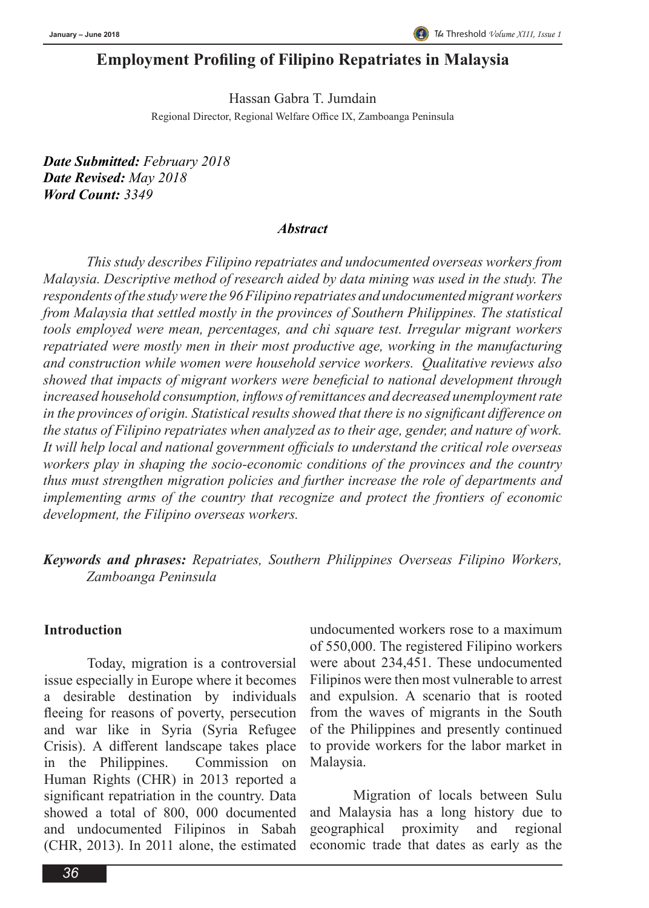# **Employment Profiling of Filipino Repatriates in Malaysia**

Hassan Gabra T. Jumdain Regional Director, Regional Welfare Office IX, Zamboanga Peninsula

*Date Submitted: February 2018 Date Revised: May 2018 Word Count: 3349*

#### *Abstract*

*This study describes Filipino repatriates and undocumented overseas workers from Malaysia. Descriptive method of research aided by data mining was used in the study. The respondents of the study were the 96 Filipino repatriates and undocumented migrant workers from Malaysia that settled mostly in the provinces of Southern Philippines. The statistical tools employed were mean, percentages, and chi square test. Irregular migrant workers repatriated were mostly men in their most productive age, working in the manufacturing and construction while women were household service workers. Qualitative reviews also showed that impacts of migrant workers were beneficial to national development through increased household consumption, inflows of remittances and decreased unemployment rate in the provinces of origin. Statistical results showed that there is no significant difference on the status of Filipino repatriates when analyzed as to their age, gender, and nature of work. It will help local and national government officials to understand the critical role overseas workers play in shaping the socio-economic conditions of the provinces and the country thus must strengthen migration policies and further increase the role of departments and implementing arms of the country that recognize and protect the frontiers of economic development, the Filipino overseas workers.* 

*Keywords and phrases: Repatriates, Southern Philippines Overseas Filipino Workers, Zamboanga Peninsula*

#### **Introduction**

Today, migration is a controversial issue especially in Europe where it becomes a desirable destination by individuals fleeing for reasons of poverty, persecution and war like in Syria (Syria Refugee Crisis). A different landscape takes place in the Philippines. Commission on Human Rights (CHR) in 2013 reported a significant repatriation in the country. Data showed a total of 800, 000 documented and undocumented Filipinos in Sabah (CHR, 2013). In 2011 alone, the estimated

undocumented workers rose to a maximum of 550,000. The registered Filipino workers were about 234,451. These undocumented Filipinos were then most vulnerable to arrest and expulsion. A scenario that is rooted from the waves of migrants in the South of the Philippines and presently continued to provide workers for the labor market in Malaysia.

Migration of locals between Sulu and Malaysia has a long history due to geographical proximity and regional economic trade that dates as early as the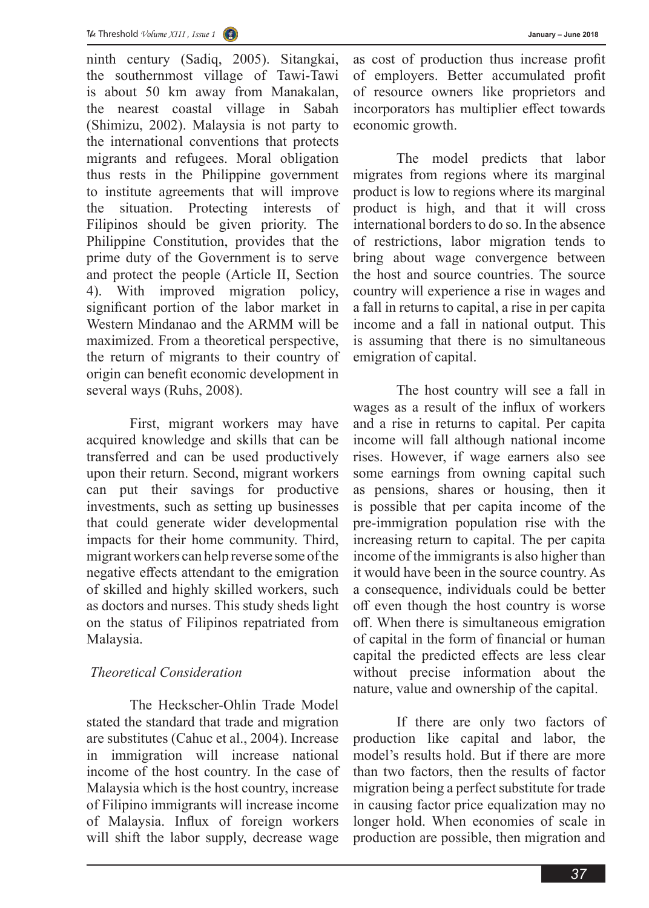ninth century (Sadiq, 2005). Sitangkai, the southernmost village of Tawi-Tawi is about 50 km away from Manakalan, the nearest coastal village in Sabah (Shimizu, 2002). Malaysia is not party to the international conventions that protects migrants and refugees. Moral obligation thus rests in the Philippine government to institute agreements that will improve the situation. Protecting interests of Filipinos should be given priority. The Philippine Constitution, provides that the prime duty of the Government is to serve and protect the people (Article II, Section 4). With improved migration policy, significant portion of the labor market in Western Mindanao and the ARMM will be maximized. From a theoretical perspective, the return of migrants to their country of origin can benefit economic development in several ways (Ruhs, 2008).

First, migrant workers may have acquired knowledge and skills that can be transferred and can be used productively upon their return. Second, migrant workers can put their savings for productive investments, such as setting up businesses that could generate wider developmental impacts for their home community. Third, migrant workers can help reverse some of the negative effects attendant to the emigration of skilled and highly skilled workers, such as doctors and nurses. This study sheds light on the status of Filipinos repatriated from Malaysia.

## *Theoretical Consideration*

The Heckscher-Ohlin Trade Model stated the standard that trade and migration are substitutes (Cahuc et al., 2004). Increase in immigration will increase national income of the host country. In the case of Malaysia which is the host country, increase of Filipino immigrants will increase income of Malaysia. Influx of foreign workers will shift the labor supply, decrease wage

as cost of production thus increase profit of employers. Better accumulated profit of resource owners like proprietors and incorporators has multiplier effect towards economic growth.

The model predicts that labor migrates from regions where its marginal product is low to regions where its marginal product is high, and that it will cross international borders to do so. In the absence of restrictions, labor migration tends to bring about wage convergence between the host and source countries. The source country will experience a rise in wages and a fall in returns to capital, a rise in per capita income and a fall in national output. This is assuming that there is no simultaneous emigration of capital.

The host country will see a fall in wages as a result of the influx of workers and a rise in returns to capital. Per capita income will fall although national income rises. However, if wage earners also see some earnings from owning capital such as pensions, shares or housing, then it is possible that per capita income of the pre-immigration population rise with the increasing return to capital. The per capita income of the immigrants is also higher than it would have been in the source country. As a consequence, individuals could be better off even though the host country is worse off. When there is simultaneous emigration of capital in the form of financial or human capital the predicted effects are less clear without precise information about the nature, value and ownership of the capital.

If there are only two factors of production like capital and labor, the model's results hold. But if there are more than two factors, then the results of factor migration being a perfect substitute for trade in causing factor price equalization may no longer hold. When economies of scale in production are possible, then migration and

*37*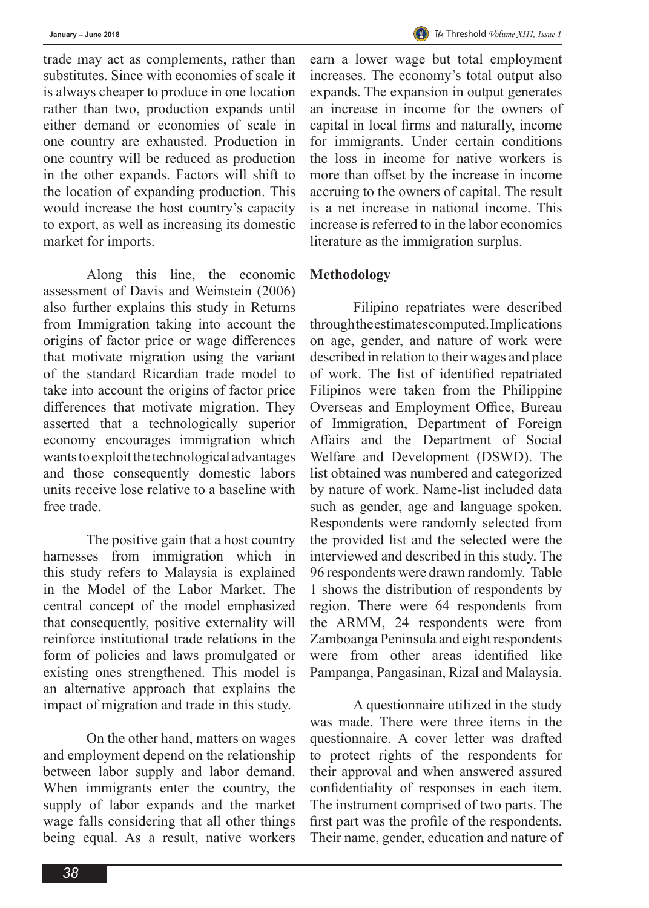trade may act as complements, rather than substitutes. Since with economies of scale it is always cheaper to produce in one location rather than two, production expands until either demand or economies of scale in one country are exhausted. Production in one country will be reduced as production in the other expands. Factors will shift to the location of expanding production. This would increase the host country's capacity to export, as well as increasing its domestic market for imports.

Along this line, the economic assessment of Davis and Weinstein (2006) also further explains this study in Returns from Immigration taking into account the origins of factor price or wage differences that motivate migration using the variant of the standard Ricardian trade model to take into account the origins of factor price differences that motivate migration. They asserted that a technologically superior economy encourages immigration which wants to exploit the technological advantages and those consequently domestic labors units receive lose relative to a baseline with free trade.

The positive gain that a host country harnesses from immigration which in this study refers to Malaysia is explained in the Model of the Labor Market. The central concept of the model emphasized that consequently, positive externality will reinforce institutional trade relations in the form of policies and laws promulgated or existing ones strengthened. This model is an alternative approach that explains the impact of migration and trade in this study.

On the other hand, matters on wages and employment depend on the relationship between labor supply and labor demand. When immigrants enter the country, the supply of labor expands and the market wage falls considering that all other things being equal. As a result, native workers

earn a lower wage but total employment increases. The economy's total output also expands. The expansion in output generates an increase in income for the owners of capital in local firms and naturally, income for immigrants. Under certain conditions the loss in income for native workers is more than offset by the increase in income accruing to the owners of capital. The result is a net increase in national income. This increase is referred to in the labor economics literature as the immigration surplus.

## **Methodology**

Filipino repatriates were described through the estimates computed. Implications on age, gender, and nature of work were described in relation to their wages and place of work. The list of identified repatriated Filipinos were taken from the Philippine Overseas and Employment Office, Bureau of Immigration, Department of Foreign Affairs and the Department of Social Welfare and Development (DSWD). The list obtained was numbered and categorized by nature of work. Name-list included data such as gender, age and language spoken. Respondents were randomly selected from the provided list and the selected were the interviewed and described in this study. The 96 respondents were drawn randomly. Table 1 shows the distribution of respondents by region. There were 64 respondents from the ARMM, 24 respondents were from Zamboanga Peninsula and eight respondents were from other areas identified like Pampanga, Pangasinan, Rizal and Malaysia.

A questionnaire utilized in the study was made. There were three items in the questionnaire. A cover letter was drafted to protect rights of the respondents for their approval and when answered assured confidentiality of responses in each item. The instrument comprised of two parts. The first part was the profile of the respondents. Their name, gender, education and nature of

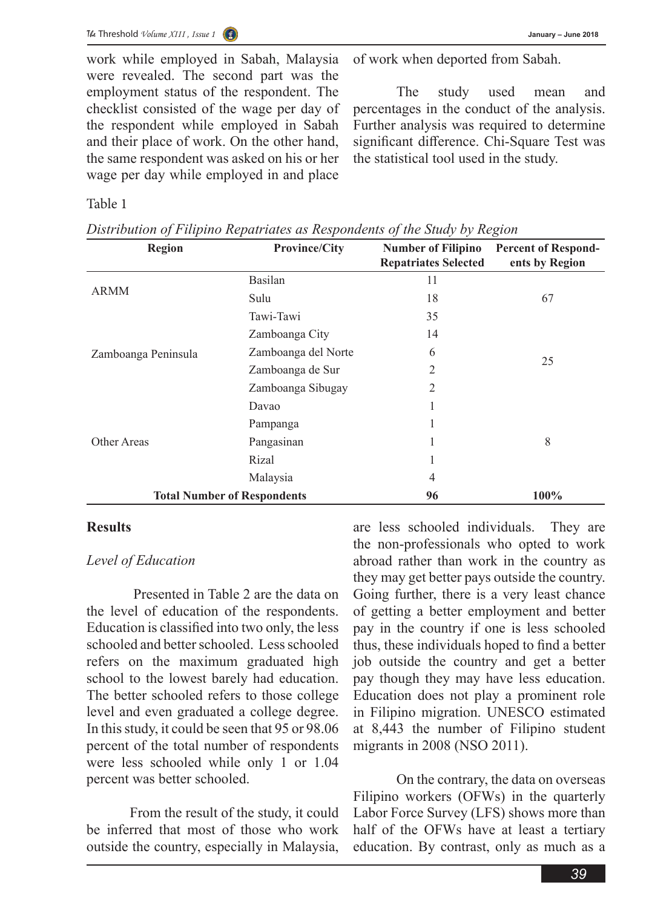work while employed in Sabah, Malaysia were revealed. The second part was the employment status of the respondent. The checklist consisted of the wage per day of the respondent while employed in Sabah and their place of work. On the other hand, the same respondent was asked on his or her wage per day while employed in and place

of work when deported from Sabah.

The study used mean and percentages in the conduct of the analysis. Further analysis was required to determine significant difference. Chi-Square Test was the statistical tool used in the study.

Table 1

| ◡<br>$\overline{ }$<br><b>Region</b> | $\overline{ }$<br>$\overline{ }$<br><b>Province/City</b> | ◡<br><b>Number of Filipino</b><br><b>Repatriates Selected</b> | ပ<br><b>Percent of Respond-</b><br>ents by Region |
|--------------------------------------|----------------------------------------------------------|---------------------------------------------------------------|---------------------------------------------------|
|                                      | Basilan                                                  | 11                                                            |                                                   |
| <b>ARMM</b>                          | Sulu                                                     | 18                                                            | 67                                                |
|                                      | Tawi-Tawi                                                | 35                                                            |                                                   |
|                                      | Zamboanga City                                           | 14                                                            |                                                   |
| Zamboanga Peninsula                  | Zamboanga del Norte                                      | 6                                                             | 25                                                |
|                                      | Zamboanga de Sur                                         | 2                                                             |                                                   |
|                                      | Zamboanga Sibugay                                        | 2                                                             |                                                   |
|                                      | Davao                                                    |                                                               |                                                   |
|                                      | Pampanga                                                 |                                                               |                                                   |
| Other Areas                          | Pangasinan                                               |                                                               | 8                                                 |
|                                      | Rizal                                                    |                                                               |                                                   |
|                                      | Malaysia                                                 | 4                                                             |                                                   |
| <b>Total Number of Respondents</b>   |                                                          | 96                                                            | 100%                                              |

*Distribution of Filipino Repatriates as Respondents of the Study by Region*

### **Results**

### *Level of Education*

 Presented in Table 2 are the data on the level of education of the respondents. Education is classified into two only, the less schooled and better schooled. Less schooled refers on the maximum graduated high school to the lowest barely had education. The better schooled refers to those college level and even graduated a college degree. In this study, it could be seen that 95 or 98.06 percent of the total number of respondents were less schooled while only 1 or 1.04 percent was better schooled.

From the result of the study, it could be inferred that most of those who work outside the country, especially in Malaysia,

are less schooled individuals. They are the non-professionals who opted to work abroad rather than work in the country as they may get better pays outside the country. Going further, there is a very least chance of getting a better employment and better pay in the country if one is less schooled thus, these individuals hoped to find a better job outside the country and get a better pay though they may have less education. Education does not play a prominent role in Filipino migration. UNESCO estimated at 8,443 the number of Filipino student migrants in 2008 (NSO 2011).

On the contrary, the data on overseas Filipino workers (OFWs) in the quarterly Labor Force Survey (LFS) shows more than half of the OFWs have at least a tertiary education. By contrast, only as much as a

*39*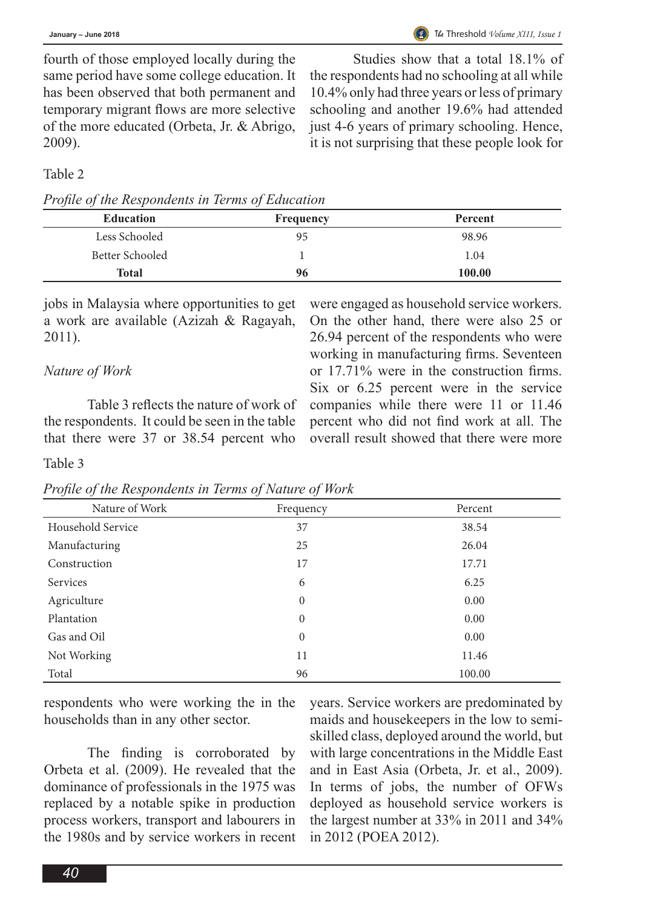fourth of those employed locally during the same period have some college education. It has been observed that both permanent and temporary migrant flows are more selective of the more educated (Orbeta, Jr. & Abrigo, 2009).

Studies show that a total 18.1% of the respondents had no schooling at all while 10.4% only had three years or less of primary schooling and another 19.6% had attended just 4-6 years of primary schooling. Hence, it is not surprising that these people look for

Table 2

*Profile of the Respondents in Terms of Education*

| <b>Education</b> | <b>Frequency</b> | Percent |
|------------------|------------------|---------|
| Less Schooled    | 95               | 98.96   |
| Better Schooled  |                  | 1.04    |
| Total            | 96               | 100.00  |

jobs in Malaysia where opportunities to get a work are available (Azizah & Ragayah, 2011).

# *Nature of Work*

Table 3 reflects the nature of work of the respondents. It could be seen in the table that there were 37 or 38.54 percent who

were engaged as household service workers. On the other hand, there were also 25 or 26.94 percent of the respondents who were working in manufacturing firms. Seventeen or 17.71% were in the construction firms. Six or 6.25 percent were in the service companies while there were 11 or 11.46 percent who did not find work at all. The overall result showed that there were more

Table 3

*Profile of the Respondents in Terms of Nature of Work*

| Nature of Work    | Frequency    | Percent |
|-------------------|--------------|---------|
| Household Service | 37           | 38.54   |
| Manufacturing     | 25           | 26.04   |
| Construction      | 17           | 17.71   |
| Services          | 6            | 6.25    |
| Agriculture       | $\mathbf{0}$ | 0.00    |
| Plantation        | $\mathbf{0}$ | 0.00    |
| Gas and Oil       | $\theta$     | 0.00    |
| Not Working       | 11           | 11.46   |
| Total             | 96           | 100.00  |

respondents who were working the in the households than in any other sector.

The finding is corroborated by Orbeta et al. (2009). He revealed that the dominance of professionals in the 1975 was replaced by a notable spike in production process workers, transport and labourers in the 1980s and by service workers in recent

years. Service workers are predominated by maids and housekeepers in the low to semiskilled class, deployed around the world, but with large concentrations in the Middle East and in East Asia (Orbeta, Jr. et al., 2009). In terms of jobs, the number of OFWs deployed as household service workers is the largest number at 33% in 2011 and 34% in 2012 (POEA 2012).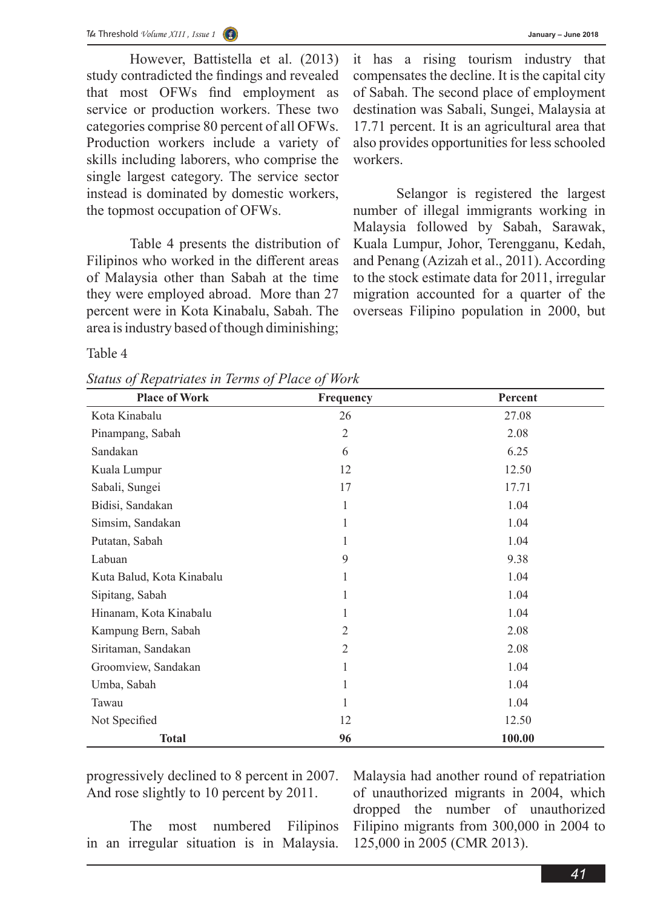

However, Battistella et al. (2013) study contradicted the findings and revealed that most OFWs find employment as service or production workers. These two categories comprise 80 percent of all OFWs. Production workers include a variety of skills including laborers, who comprise the single largest category. The service sector instead is dominated by domestic workers, the topmost occupation of OFWs.

Table 4 presents the distribution of Filipinos who worked in the different areas of Malaysia other than Sabah at the time they were employed abroad. More than 27 percent were in Kota Kinabalu, Sabah. The area is industry based of though diminishing;

it has a rising tourism industry that compensates the decline. It is the capital city of Sabah. The second place of employment destination was Sabali, Sungei, Malaysia at 17.71 percent. It is an agricultural area that also provides opportunities for less schooled workers.

Selangor is registered the largest number of illegal immigrants working in Malaysia followed by Sabah, Sarawak, Kuala Lumpur, Johor, Terengganu, Kedah, and Penang (Azizah et al., 2011). According to the stock estimate data for 2011, irregular migration accounted for a quarter of the overseas Filipino population in 2000, but

Table 4

*Status of Repatriates in Terms of Place of Work*

| <b>Place of Work</b>      | Frequency      | Percent |
|---------------------------|----------------|---------|
| Kota Kinabalu             | 26             | 27.08   |
| Pinampang, Sabah          | $\overline{2}$ | 2.08    |
| Sandakan                  | 6              | 6.25    |
| Kuala Lumpur              | 12             | 12.50   |
| Sabali, Sungei            | 17             | 17.71   |
| Bidisi, Sandakan          | 1              | 1.04    |
| Simsim, Sandakan          | 1              | 1.04    |
| Putatan, Sabah            | 1              | 1.04    |
| Labuan                    | 9              | 9.38    |
| Kuta Balud, Kota Kinabalu | 1              | 1.04    |
| Sipitang, Sabah           | 1              | 1.04    |
| Hinanam, Kota Kinabalu    | 1              | 1.04    |
| Kampung Bern, Sabah       | 2              | 2.08    |
| Siritaman, Sandakan       | $\overline{2}$ | 2.08    |
| Groomview, Sandakan       | 1              | 1.04    |
| Umba, Sabah               | 1              | 1.04    |
| Tawau                     | 1              | 1.04    |
| Not Specified             | 12             | 12.50   |
| <b>Total</b>              | 96             | 100.00  |

progressively declined to 8 percent in 2007. And rose slightly to 10 percent by 2011.

The most numbered Filipinos in an irregular situation is in Malaysia.

Malaysia had another round of repatriation of unauthorized migrants in 2004, which dropped the number of unauthorized Filipino migrants from 300,000 in 2004 to 125,000 in 2005 (CMR 2013).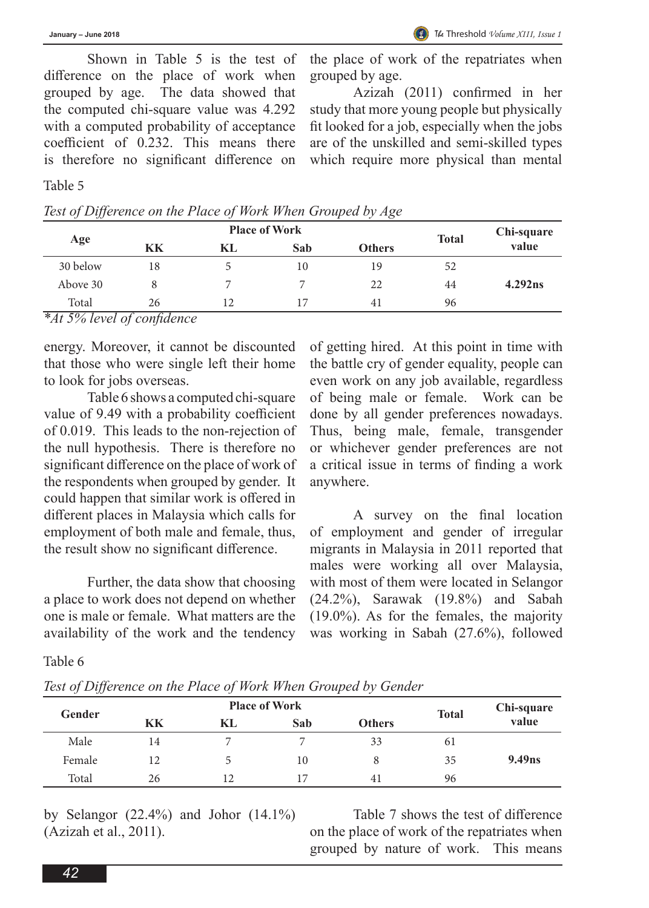Shown in Table 5 is the test of difference on the place of work when grouped by age. The data showed that the computed chi-square value was 4.292 with a computed probability of acceptance coefficient of 0.232. This means there is therefore no significant difference on

the place of work of the repatriates when grouped by age.

Azizah (2011) confirmed in her study that more young people but physically fit looked for a job, especially when the jobs are of the unskilled and semi-skilled types which require more physical than mental

#### Table 5

| Test of Difference on the Place of Work When Grouped by Age |  |
|-------------------------------------------------------------|--|
|-------------------------------------------------------------|--|

| Age           |          | <b>Place of Work</b> | <b>Total</b> | Chi-square    |    |         |
|---------------|----------|----------------------|--------------|---------------|----|---------|
|               | KK       | KL                   | Sab          | <b>Others</b> |    | value   |
| 30 below      | 18       |                      | 10           | 19            | 52 |         |
| Above 30      |          |                      |              | 22            | 44 | 4.292ns |
| Total<br>____ | 26<br>-- |                      |              | 41            | 96 |         |

### *\*At 5% level of confidence*

energy. Moreover, it cannot be discounted that those who were single left their home to look for jobs overseas.

Table 6 shows a computed chi-square value of 9.49 with a probability coefficient of 0.019. This leads to the non-rejection of the null hypothesis. There is therefore no significant difference on the place of work of the respondents when grouped by gender. It could happen that similar work is offered in different places in Malaysia which calls for employment of both male and female, thus, the result show no significant difference.

Further, the data show that choosing a place to work does not depend on whether one is male or female. What matters are the availability of the work and the tendency

of getting hired. At this point in time with the battle cry of gender equality, people can even work on any job available, regardless of being male or female. Work can be done by all gender preferences nowadays. Thus, being male, female, transgender or whichever gender preferences are not a critical issue in terms of finding a work anywhere.

A survey on the final location of employment and gender of irregular migrants in Malaysia in 2011 reported that males were working all over Malaysia, with most of them were located in Selangor (24.2%), Sarawak (19.8%) and Sabah (19.0%). As for the females, the majority was working in Sabah (27.6%), followed

## Table 6

*Test of Difference on the Place of Work When Grouped by Gender*

| Gender |    | <b>Place of Work</b> | <b>Total</b> | Chi-square    |    |                    |
|--------|----|----------------------|--------------|---------------|----|--------------------|
|        | KK | KL                   | Sab          | <b>Others</b> |    | value              |
| Male   | 14 |                      |              | 33            | 61 |                    |
| Female | 12 |                      | 10           | 8             | 35 | 9.49 <sub>ns</sub> |
| Total  | 26 | 12                   | 17           | 41            | 96 |                    |

by Selangor (22.4%) and Johor (14.1%) (Azizah et al., 2011).

Table 7 shows the test of difference on the place of work of the repatriates when grouped by nature of work. This means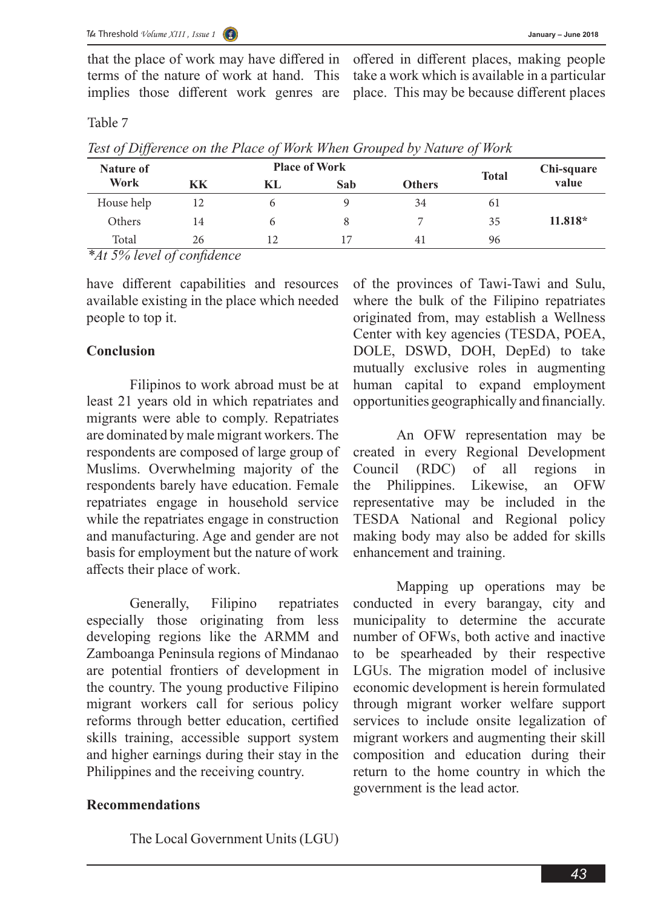that the place of work may have differed in terms of the nature of work at hand. This implies those different work genres are

offered in different places, making people take a work which is available in a particular place. This may be because different places

Table 7

| Test of Difference on the Place of Work When Grouped by Nature of Work |  |  |  |
|------------------------------------------------------------------------|--|--|--|
|                                                                        |  |  |  |
|                                                                        |  |  |  |
|                                                                        |  |  |  |

| Nature of  |    | <b>Place of Work</b> | <b>Total</b> | Chi-square    |    |           |
|------------|----|----------------------|--------------|---------------|----|-----------|
| Work       | KK | KL                   | Sab          | <b>Others</b> |    | value     |
| House help | 12 | o                    |              | 34            | 61 |           |
| Others     | 14 | n                    |              |               | 35 | $11.818*$ |
| Total      | 26 | 12                   | 17           | 41            | 96 |           |

*\*At 5% level of confidence*

have different capabilities and resources available existing in the place which needed people to top it.

## **Conclusion**

Filipinos to work abroad must be at least 21 years old in which repatriates and migrants were able to comply. Repatriates are dominated by male migrant workers. The respondents are composed of large group of Muslims. Overwhelming majority of the respondents barely have education. Female repatriates engage in household service while the repatriates engage in construction and manufacturing. Age and gender are not basis for employment but the nature of work affects their place of work.

Generally, Filipino repatriates especially those originating from less developing regions like the ARMM and Zamboanga Peninsula regions of Mindanao are potential frontiers of development in the country. The young productive Filipino migrant workers call for serious policy reforms through better education, certified skills training, accessible support system and higher earnings during their stay in the Philippines and the receiving country.

## **Recommendations**

The Local Government Units (LGU)

of the provinces of Tawi-Tawi and Sulu, where the bulk of the Filipino repatriates originated from, may establish a Wellness Center with key agencies (TESDA, POEA, DOLE, DSWD, DOH, DepEd) to take mutually exclusive roles in augmenting human capital to expand employment opportunities geographically and financially.

An OFW representation may be created in every Regional Development Council (RDC) of all regions in the Philippines. Likewise, an OFW representative may be included in the TESDA National and Regional policy making body may also be added for skills enhancement and training.

Mapping up operations may be conducted in every barangay, city and municipality to determine the accurate number of OFWs, both active and inactive to be spearheaded by their respective LGUs. The migration model of inclusive economic development is herein formulated through migrant worker welfare support services to include onsite legalization of migrant workers and augmenting their skill composition and education during their return to the home country in which the government is the lead actor.